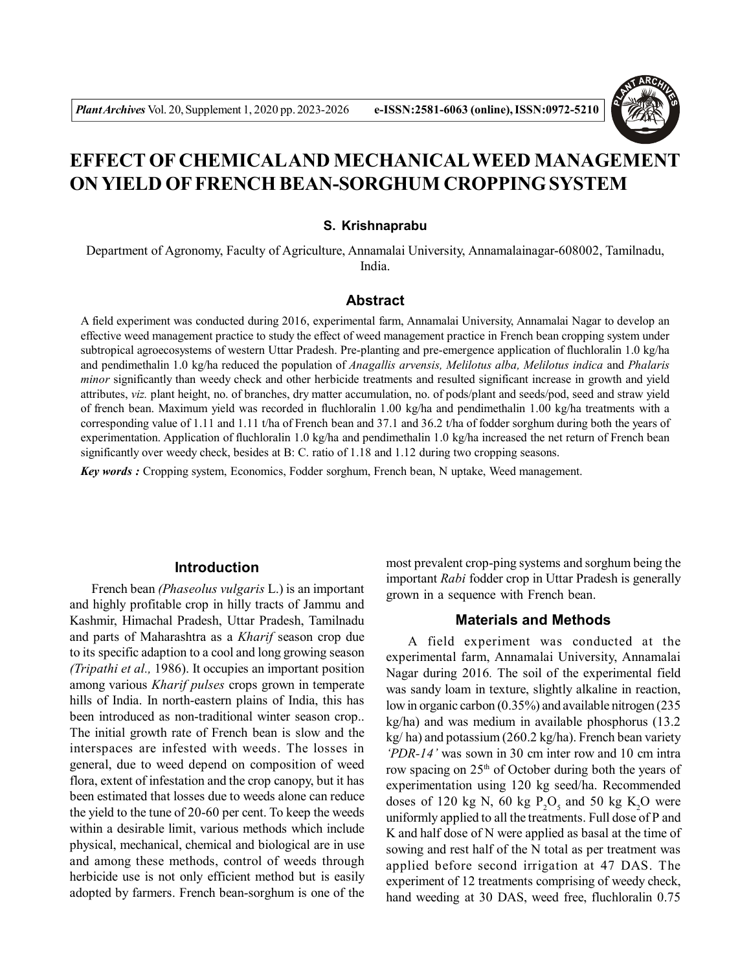

# **EFFECT OF CHEMICALAND MECHANICALWEED MANAGEMENT ON YIELD OF FRENCH BEAN-SORGHUM CROPPING SYSTEM**

#### **S. Krishnaprabu**

Department of Agronomy, Faculty of Agriculture, Annamalai University, Annamalainagar-608002, Tamilnadu, India.

#### **Abstract**

A field experiment was conducted during 2016, experimental farm, Annamalai University, Annamalai Nagar to develop an effective weed management practice to study the effect of weed management practice in French bean cropping system under subtropical agroecosystems of western Uttar Pradesh. Pre-planting and pre-emergence application of fluchloralin 1.0 kg/ha and pendimethalin 1.0 kg/ha reduced the population of *Anagallis arvensis, Melilotus alba, Melilotus indica* and *Phalaris minor* significantly than weedy check and other herbicide treatments and resulted significant increase in growth and yield attributes, *viz.* plant height, no. of branches, dry matter accumulation, no. of pods/plant and seeds/pod, seed and straw yield of french bean. Maximum yield was recorded in fluchloralin 1.00 kg/ha and pendimethalin 1.00 kg/ha treatments with a corresponding value of 1.11 and 1.11 t/ha of French bean and 37.1 and 36.2 t/ha of fodder sorghum during both the years of experimentation. Application of fluchloralin 1.0 kg/ha and pendimethalin 1.0 kg/ha increased the net return of French bean significantly over weedy check, besides at B: C. ratio of 1.18 and 1.12 during two cropping seasons.

*Key words :* Cropping system, Economics, Fodder sorghum, French bean, N uptake, Weed management.

#### **Introduction**

French bean *(Phaseolus vulgaris* L.) is an important and highly profitable crop in hilly tracts of Jammu and Kashmir, Himachal Pradesh, Uttar Pradesh, Tamilnadu and parts of Maharashtra as a *Kharif* season crop due to its specific adaption to a cool and long growing season *(Tripathi et al.,* 1986). It occupies an important position among various *Kharif pulses* crops grown in temperate hills of India. In north-eastern plains of India, this has been introduced as non-traditional winter season crop.. The initial growth rate of French bean is slow and the interspaces are infested with weeds. The losses in general, due to weed depend on composition of weed flora, extent of infestation and the crop canopy, but it has been estimated that losses due to weeds alone can reduce the yield to the tune of 20-60 per cent. To keep the weeds within a desirable limit, various methods which include physical, mechanical, chemical and biological are in use and among these methods, control of weeds through herbicide use is not only efficient method but is easily adopted by farmers. French bean-sorghum is one of the

most prevalent crop-ping systems and sorghum being the important *Rabi* fodder crop in Uttar Pradesh is generally grown in a sequence with French bean.

#### **Materials and Methods**

A field experiment was conducted at the experimental farm, Annamalai University, Annamalai Nagar during 2016*.* The soil of the experimental field was sandy loam in texture, slightly alkaline in reaction, low in organic carbon (0.35%) and available nitrogen (235 kg/ha) and was medium in available phosphorus (13.2 kg/ ha) and potassium (260.2 kg/ha). French bean variety *'PDR-14'* was sown in 30 cm inter row and 10 cm intra row spacing on 25<sup>th</sup> of October during both the years of experimentation using 120 kg seed/ha. Recommended doses of 120 kg N, 60 kg  $P_2O_5$  and 50 kg K<sub>2</sub>O were uniformly applied to all the treatments. Full dose of P and K and half dose of N were applied as basal at the time of sowing and rest half of the N total as per treatment was applied before second irrigation at 47 DAS. The experiment of 12 treatments comprising of weedy check, hand weeding at 30 DAS, weed free, fluchloralin 0.75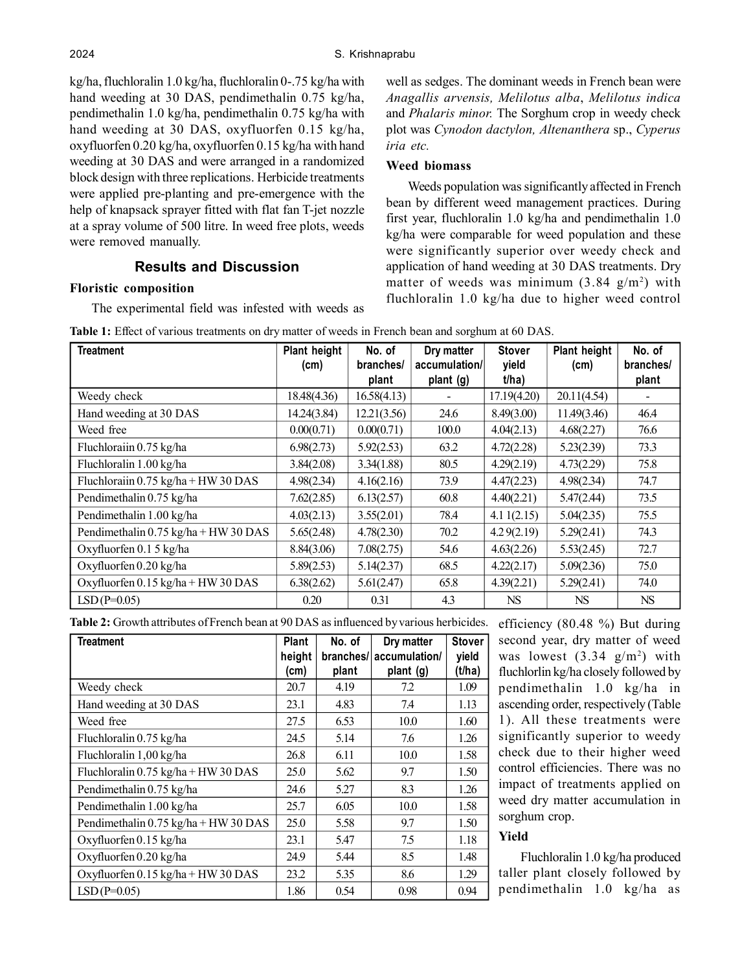kg/ha, fluchloralin 1.0 kg/ha, fluchloralin 0-.75 kg/ha with hand weeding at 30 DAS, pendimethalin 0.75 kg/ha, pendimethalin 1.0 kg/ha, pendimethalin 0.75 kg/ha with hand weeding at 30 DAS, oxyfluorfen 0.15 kg/ha, oxyfluorfen 0.20 kg/ha, oxyfluorfen 0.15 kg/ha with hand weeding at 30 DAS and were arranged in a randomized block design with three replications. Herbicide treatments were applied pre-planting and pre-emergence with the help of knapsack sprayer fitted with flat fan T-jet nozzle at a spray volume of 500 litre. In weed free plots, weeds were removed manually.

# **Results and Discussion**

#### **Floristic composition**

The experimental field was infested with weeds as

well as sedges. The dominant weeds in French bean were *Anagallis arvensis, Melilotus alba*, *Melilotus indica* and *Phalaris minor.* The Sorghum crop in weedy check plot was *Cynodon dactylon, Altenanthera* sp., *Cyperus iria etc.*

### **Weed biomass**

Weeds population was significantly affected in French bean by different weed management practices. During first year, fluchloralin 1.0 kg/ha and pendimethalin 1.0 kg/ha were comparable for weed population and these were significantly superior over weedy check and application of hand weeding at 30 DAS treatments. Dry matter of weeds was minimum  $(3.84 \text{ g/m}^2)$  with fluchloralin 1.0 kg/ha due to higher weed control

| <b>Treatment</b>                                              | Plant height<br>(cm) | No. of<br>branches/<br>plant | Dry matter<br>accumulation/<br>plant (g) | <b>Stover</b><br>yield<br>t/ha) | Plant height<br>(cm) | No. of<br>branches/<br>plant |
|---------------------------------------------------------------|----------------------|------------------------------|------------------------------------------|---------------------------------|----------------------|------------------------------|
| Weedy check                                                   | 18.48(4.36)          | 16.58(4.13)                  |                                          | 17.19(4.20)                     | 20.11(4.54)          |                              |
| Hand weeding at 30 DAS                                        | 14.24(3.84)          | 12.21(3.56)                  | 24.6                                     | 8.49(3.00)                      | 11.49(3.46)          | 46.4                         |
| Weed free                                                     | 0.00(0.71)           | 0.00(0.71)                   | 100.0                                    | 4.04(2.13)                      | 4.68(2.27)           | 76.6                         |
| Fluchlorain 0.75 kg/ha                                        | 6.98(2.73)           | 5.92(2.53)                   | 63.2                                     | 4.72(2.28)                      | 5.23(2.39)           | 73.3                         |
| Fluchloralin 1.00 kg/ha                                       | 3.84(2.08)           | 3.34(1.88)                   | 80.5                                     | 4.29(2.19)                      | 4.73(2.29)           | 75.8                         |
| Fluchloraiin $0.75 \text{ kg/ha} + \text{HW} 30 \text{ DAS}$  | 4.98(2.34)           | 4.16(2.16)                   | 73.9                                     | 4.47(2.23)                      | 4.98(2.34)           | 74.7                         |
| Pendimethalin 0.75 kg/ha                                      | 7.62(2.85)           | 6.13(2.57)                   | 60.8                                     | 4.40(2.21)                      | 5.47(2.44)           | 73.5                         |
| Pendimethalin 1.00 kg/ha                                      | 4.03(2.13)           | 3.55(2.01)                   | 78.4                                     | 4.11(2.15)                      | 5.04(2.35)           | 75.5                         |
| Pendimethalin $0.75 \text{ kg/ha} + \text{HW} 30 \text{ DAS}$ | 5.65(2.48)           | 4.78(2.30)                   | 70.2                                     | 4.29(2.19)                      | 5.29(2.41)           | 74.3                         |
| Oxyfluorfen 0.1 5 kg/ha                                       | 8.84(3.06)           | 7.08(2.75)                   | 54.6                                     | 4.63(2.26)                      | 5.53(2.45)           | 72.7                         |
| Oxyfluorfen 0.20 kg/ha                                        | 5.89(2.53)           | 5.14(2.37)                   | 68.5                                     | 4.22(2.17)                      | 5.09(2.36)           | 75.0                         |
| Oxyfluorfen 0.15 kg/ha + HW 30 DAS                            | 6.38(2.62)           | 5.61(2.47)                   | 65.8                                     | 4.39(2.21)                      | 5.29(2.41)           | 74.0                         |
| $LSD(P=0.05)$                                                 | 0.20                 | 0.31                         | 4.3                                      | NS                              | NS.                  | <b>NS</b>                    |

|  |  |  | Table 1: Effect of various treatments on dry matter of weeds in French bean and sorghum at 60 DAS. |
|--|--|--|----------------------------------------------------------------------------------------------------|
|--|--|--|----------------------------------------------------------------------------------------------------|

**Table 2:** Growth attributes of French bean at 90 DAS as influenced by various herbicides.

| <b>Treatment</b>                                             | <b>Plant</b><br>height<br>(cm) | No. of<br>branches/<br>plant | Dry matter<br>accumulation/<br>plant (g) | <b>Stover</b><br>yield<br>(t/ha) |
|--------------------------------------------------------------|--------------------------------|------------------------------|------------------------------------------|----------------------------------|
| Weedy check                                                  | 20.7                           | 4.19                         | 7.2                                      | 1.09                             |
| Hand weeding at 30 DAS                                       | 23.1                           | 4.83                         | 7.4                                      | 1.13                             |
| Weed free                                                    | 27.5                           | 6.53                         | 10.0                                     | 1.60                             |
| Fluchloralin 0.75 kg/ha                                      | 24.5                           | 5.14                         | 7.6                                      | 1.26                             |
| Fluchloralin 1,00 kg/ha                                      | 26.8                           | 6.11                         | 10.0                                     | 1.58                             |
| Fluchloralin $0.75 \text{ kg/ha} + \text{HW} 30 \text{ DAS}$ | 25.0                           | 5.62                         | 9.7                                      | 1.50                             |
| Pendimethalin 0.75 kg/ha                                     | 24.6                           | 5.27                         | 8.3                                      | 1.26                             |
| Pendimethalin 1.00 kg/ha                                     | 25.7                           | 6.05                         | 10.0                                     | 1.58                             |
| Pendimethalin 0.75 kg/ha + HW 30 DAS                         | 25.0                           | 5.58                         | 9.7                                      | 1.50                             |
| Oxyfluorfen 0.15 kg/ha                                       | 23.1                           | 5.47                         | 7.5                                      | 1.18                             |
| Oxyfluorfen 0.20 kg/ha                                       | 24.9                           | 5.44                         | 8.5                                      | 1.48                             |
| Oxyfluorfen 0.15 kg/ha + HW 30 DAS                           | 23.2                           | 5.35                         | 8.6                                      | 1.29                             |
| $LSD(P=0.05)$                                                | 1.86                           | 0.54                         | 0.98                                     | 0.94                             |

efficiency (80.48 %) But during second year, dry matter of weed was lowest  $(3.34 \text{ g/m}^2)$  with fluchlorlin kg/ha closely followed by pendimethalin 1.0 kg/ha in ascending order, respectively (Table 1). All these treatments were significantly superior to weedy check due to their higher weed control efficiencies. There was no impact of treatments applied on weed dry matter accumulation in sorghum crop.

## **Yield**

Fluchloralin 1.0 kg/ha produced taller plant closely followed by pendimethalin 1.0 kg/ha as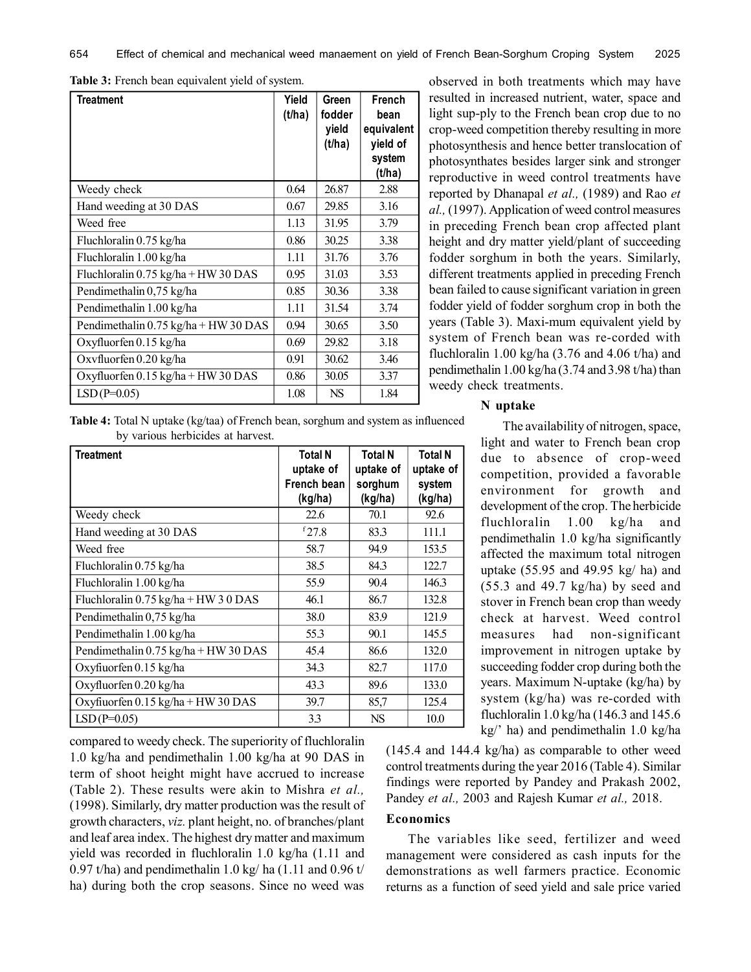| Treatment                                                    | Yield<br>(t/ha) | Green<br>fodder<br>yield<br>(t/ha) | French<br>bean<br>equivalent<br>yield of<br>system<br>(t/ha) |
|--------------------------------------------------------------|-----------------|------------------------------------|--------------------------------------------------------------|
| Weedy check                                                  | 0.64            | 26.87                              | 2.88                                                         |
| Hand weeding at 30 DAS                                       | 0.67            | 29.85                              | 3.16                                                         |
| Weed free                                                    | 1.13            | 31.95                              | 3.79                                                         |
| Fluchloralin 0.75 kg/ha                                      | 0.86            | 30.25                              | 3.38                                                         |
| Fluchloralin 1.00 kg/ha                                      | 1.11            | 31.76                              | 3.76                                                         |
| Fluchloralin $0.75 \text{ kg/ha} + \text{HW} 30 \text{ DAS}$ | 0.95            | 31.03                              | 3.53                                                         |
| Pendimethalin 0,75 kg/ha                                     | 0.85            | 30.36                              | 3.38                                                         |
| Pendimethalin 1.00 kg/ha                                     | 1.11            | 31.54                              | 3.74                                                         |
| Pendimethalin 0.75 kg/ha + HW 30 DAS                         | 0.94            | 30.65                              | 3.50                                                         |
| Oxyfluorfen 0.15 kg/ha                                       | 0.69            | 29.82                              | 3.18                                                         |
| Oxyfluorfen 0.20 kg/ha                                       | 0.91            | 30.62                              | 3.46                                                         |
| Oxyfluorfen 0.15 kg/ha + HW 30 DAS                           | 0.86            | 30.05                              | 3.37                                                         |
| $LSD(P=0.05)$                                                | 1.08            | <b>NS</b>                          | 1.84                                                         |

**Table 3:** French bean equivalent yield of system.

photosynthesis and hence better translocation of photosynthates besides larger sink and stronger reproductive in weed control treatments have reported by Dhanapal *et al.,* (1989) and Rao *et al.,* (1997). Application of weed control measures in preceding French bean crop affected plant height and dry matter yield/plant of succeeding fodder sorghum in both the years. Similarly, different treatments applied in preceding French bean failed to cause significant variation in green fodder yield of fodder sorghum crop in both the years (Table 3). Maxi-mum equivalent yield by system of French bean was re-corded with fluchloralin 1.00 kg/ha  $(3.76$  and 4.06 t/ha) and pendimethalin 1.00 kg/ha (3.74 and 3.98 t/ha) than weedy check treatments.

observed in both treatments which may have resulted in increased nutrient, water, space and light sup-ply to the French bean crop due to no crop-weed competition thereby resulting in more

**Table 4:** Total N uptake (kg/taa) of French bean, sorghum and system as influenced by various herbicides at harvest.

| <b>Treatment</b>                                             | <b>Total N</b><br>uptake of<br>French bean<br>(kg/ha) | <b>Total N</b><br>uptake of<br>sorghum<br>(kg/ha) | <b>Total N</b><br>uptake of<br>system<br>(kg/ha) |
|--------------------------------------------------------------|-------------------------------------------------------|---------------------------------------------------|--------------------------------------------------|
| Weedy check                                                  | 22.6                                                  | 70.1                                              | 92.6                                             |
| Hand weeding at 30 DAS                                       | $f$ 27.8                                              | 83.3                                              | 111.1                                            |
| Weed free                                                    | 58.7                                                  | 94.9                                              | 153.5                                            |
| Fluchloralin 0.75 kg/ha                                      | 38.5                                                  | 84.3                                              | 122.7                                            |
| Fluchloralin 1.00 kg/ha                                      | 55.9                                                  | 90.4                                              | 146.3                                            |
| Fluchloralin $0.75 \text{ kg/ha} + \text{HW} 30 \text{ DAS}$ | 46.1                                                  | 86.7                                              | 132.8                                            |
| Pendimethalin 0,75 kg/ha                                     | 38.0                                                  | 83.9                                              | 121.9                                            |
| Pendimethalin 1.00 kg/ha                                     | 55.3                                                  | 90.1                                              | 145.5                                            |
| Pendimethalin 0.75 kg/ha + HW 30 DAS                         | 45.4                                                  | 86.6                                              | 132.0                                            |
| Oxyfiuorfen 0.15 kg/ha                                       | 343                                                   | 82.7                                              | 117.0                                            |
| Oxyfluorfen 0.20 kg/ha                                       | 43.3                                                  | 89.6                                              | 133.0                                            |
| Oxyfiuorfen $0.15$ kg/ha + HW 30 DAS                         | 39.7                                                  | 85,7                                              | 125.4                                            |
| $LSD(P=0.05)$                                                | 3.3                                                   | <b>NS</b>                                         | 10.0                                             |

compared to weedy check. The superiority of fluchloralin 1.0 kg/ha and pendimethalin 1.00 kg/ha at 90 DAS in term of shoot height might have accrued to increase (Table 2). These results were akin to Mishra *et al.,* (1998). Similarly, dry matter production was the result of growth characters, *viz.* plant height, no. of branches/plant and leaf area index. The highest dry matter and maximum yield was recorded in fluchloralin 1.0 kg/ha (1.11 and 0.97 t/ha) and pendimethalin 1.0 kg/ ha  $(1.11$  and 0.96 t/ ha) during both the crop seasons. Since no weed was

#### **N uptake**

The availability of nitrogen, space, light and water to French bean crop due to absence of crop-weed competition, provided a favorable environment for growth and development of the crop. The herbicide fluchloralin 1.00 kg/ha and pendimethalin 1.0 kg/ha significantly affected the maximum total nitrogen uptake (55.95 and 49.95 kg/ ha) and (55.3 and 49.7 kg/ha) by seed and stover in French bean crop than weedy check at harvest. Weed control measures had non-significant improvement in nitrogen uptake by succeeding fodder crop during both the years. Maximum N-uptake (kg/ha) by system (kg/ha) was re-corded with fluchloralin 1.0 kg/ha (146.3 and 145.6 kg/' ha) and pendimethalin 1.0 kg/ha

(145.4 and 144.4 kg/ha) as comparable to other weed control treatments during the year 2016 (Table 4). Similar findings were reported by Pandey and Prakash 2002, Pandey *et al.,* 2003 and Rajesh Kumar *et al.,* 2018.

#### **Economics**

The variables like seed, fertilizer and weed management were considered as cash inputs for the demonstrations as well farmers practice. Economic returns as a function of seed yield and sale price varied